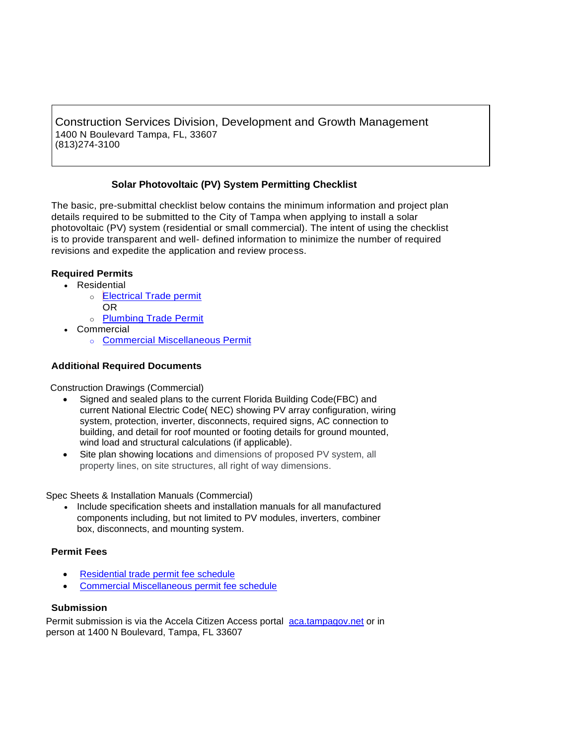Construction Services Division, Development and Growth Management 1400 N Boulevard Tampa, FL, 33607 (813)274-3100

# **Solar Photovoltaic (PV) System Permitting Checklist**

The basic, pre-submittal checklist below contains the minimum information and project plan details required to be submitted to the City of Tampa when applying to install a solar photovoltaic (PV) system (residential or small commercial). The intent of using the checklist is to provide transparent and well- defined information to minimize the number of required revisions and expedite the application and review process.

# **Required Permits**

- Residential
	- o [Electrical Trade permit](https://www.tampagov.net/sites/default/files/public%3A/additionalfiles/residential_trade_permit_application_6_2018.pdf) OR
	- o [Plumbing Trade Permit](https://www.tampagov.net/sites/default/files/public%3A/additionalfiles/residential_trade_permit_application_6_2018.pdf)
- Commercial
	- o [Commercial Miscellaneous](https://www.tampagov.net/sites/default/files/public%3A/additionalfiles/commercial_miscellaneous_permit_application_6_2018.pdf) Permit

## **Additional Required Documents**

Construction Drawings (Commercial)

- Signed and sealed plans to the current Florida Building Code(FBC) and current National Electric Code( NEC) showing PV array configuration, wiring system, protection, inverter, disconnects, required signs, AC connection to building, and detail for roof mounted or footing details for ground mounted, wind load and structural calculations (if applicable).
- Site plan showing locations and dimensions of proposed PV system, all property lines, on site structures, all right of way dimensions.

Spec Sheets & Installation Manuals (Commercial)

• Include specification sheets and installation manuals for all manufactured components including, but not limited to PV modules, inverters, combiner box, disconnects, and mounting system.

## **Permit Fees**

- [Residential trade permit fee schedule](https://www.tampagov.net/sites/default/files/construction-services/files/trade_permit_fee_schedule_5_31_20.pdf)
- [Commercial Miscellaneous permit fee schedule](https://www.tampagov.net/sites/default/files/construction-services/files/miscellaneous_projects_permit_fee_schedule_5_31_20.pdf)

### **Submission**

Permit submission is via the Accela Citizen Access portal [aca.tampagov.net](https://aca.tampagov.net/CitizenAccess/Default.aspx) or in person at 1400 N Boulevard, Tampa, FL 33607